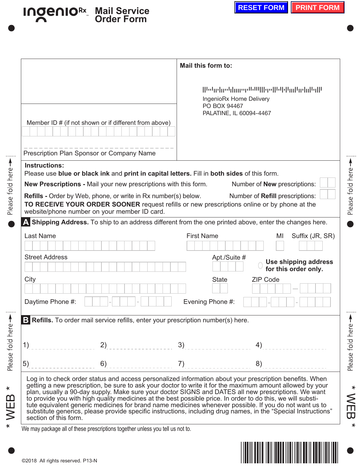## **IngenioRx Mail Service Order Form**

|                                                                                                                                               |    | Mail this form to:                                                                                                                                             |                                                                                                                                                                                                                                                                                                                                                                                                                                                                                                                                                                                                                                                                        |
|-----------------------------------------------------------------------------------------------------------------------------------------------|----|----------------------------------------------------------------------------------------------------------------------------------------------------------------|------------------------------------------------------------------------------------------------------------------------------------------------------------------------------------------------------------------------------------------------------------------------------------------------------------------------------------------------------------------------------------------------------------------------------------------------------------------------------------------------------------------------------------------------------------------------------------------------------------------------------------------------------------------------|
| Member ID # (if not shown or if different from above)                                                                                         |    |                                                                                                                                                                | bdg  pdg  mephill   go  bl d m  gd  b  d <br>IngenioRx Home Delivery<br>PO BOX 94467<br>PALATINE, IL 60094-4467                                                                                                                                                                                                                                                                                                                                                                                                                                                                                                                                                        |
| Prescription Plan Sponsor or Company Name                                                                                                     |    |                                                                                                                                                                |                                                                                                                                                                                                                                                                                                                                                                                                                                                                                                                                                                                                                                                                        |
| <b>Instructions:</b><br><b>Refills - Order by Web, phone, or write in Rx number(s) below.</b><br>website/phone number on your member ID card. |    | Please use blue or black ink and print in capital letters. Fill in both sides of this form.<br>New Prescriptions - Mail your new prescriptions with this form. | Number of <b>New</b> prescriptions:<br>Number of Refill prescriptions:<br>TO RECEIVE YOUR ORDER SOONER request refills or new prescriptions online or by phone at the                                                                                                                                                                                                                                                                                                                                                                                                                                                                                                  |
|                                                                                                                                               |    |                                                                                                                                                                | A Shipping Address. To ship to an address different from the one printed above, enter the changes here.                                                                                                                                                                                                                                                                                                                                                                                                                                                                                                                                                                |
| <b>Last Name</b>                                                                                                                              |    | <b>First Name</b>                                                                                                                                              | Suffix (JR, SR)<br>MI                                                                                                                                                                                                                                                                                                                                                                                                                                                                                                                                                                                                                                                  |
| <b>Street Address</b>                                                                                                                         |    |                                                                                                                                                                | Apt./Suite #<br>Use shipping address<br>for this order only.                                                                                                                                                                                                                                                                                                                                                                                                                                                                                                                                                                                                           |
| City                                                                                                                                          |    |                                                                                                                                                                | <b>State</b><br><b>ZIP Code</b>                                                                                                                                                                                                                                                                                                                                                                                                                                                                                                                                                                                                                                        |
| Daytime Phone #:                                                                                                                              |    | Evening Phone #:                                                                                                                                               |                                                                                                                                                                                                                                                                                                                                                                                                                                                                                                                                                                                                                                                                        |
|                                                                                                                                               |    | B Refills. To order mail service refills, enter your prescription number(s) here.                                                                              |                                                                                                                                                                                                                                                                                                                                                                                                                                                                                                                                                                                                                                                                        |
| 1)                                                                                                                                            | 2) | 3)                                                                                                                                                             | 4)                                                                                                                                                                                                                                                                                                                                                                                                                                                                                                                                                                                                                                                                     |
| 5)                                                                                                                                            | 6) | 7)                                                                                                                                                             | 8)                                                                                                                                                                                                                                                                                                                                                                                                                                                                                                                                                                                                                                                                     |
| section of this form.                                                                                                                         |    |                                                                                                                                                                | Log in to check order status and access personalized information about your prescription benefits. When<br>getting a new prescription, be sure to ask your doctor to write it for the maximum amount allowed by your<br>plan, usually a 90-day supply. Make sure your doctor SIGNS and DATES all new prescriptions. We want<br>to provide you with high quality medicines at the best possible price. In order to do this, we will substi-<br>tute equivalent generic medicines for brand name medicines whenever possible. If you do not want us to<br>substitute generics, please provide specific instructions, including drug names, in the "Special Instructions" |



Please fold here

Please fold here  $\rightarrow$ 

 $*$  WEB  $*$